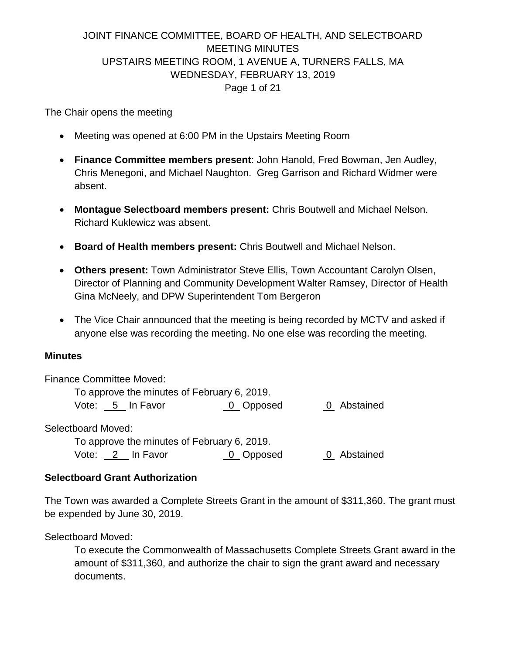# JOINT FINANCE COMMITTEE, BOARD OF HEALTH, AND SELECTBOARD MEETING MINUTES UPSTAIRS MEETING ROOM, 1 AVENUE A, TURNERS FALLS, MA WEDNESDAY, FEBRUARY 13, 2019 Page 1 of 21

The Chair opens the meeting

- Meeting was opened at 6:00 PM in the Upstairs Meeting Room
- **Finance Committee members present**: John Hanold, Fred Bowman, Jen Audley, Chris Menegoni, and Michael Naughton. Greg Garrison and Richard Widmer were absent.
- **Montague Selectboard members present:** Chris Boutwell and Michael Nelson. Richard Kuklewicz was absent.
- **Board of Health members present:** Chris Boutwell and Michael Nelson.
- **Others present:** Town Administrator Steve Ellis, Town Accountant Carolyn Olsen, Director of Planning and Community Development Walter Ramsey, Director of Health Gina McNeely, and DPW Superintendent Tom Bergeron
- The Vice Chair announced that the meeting is being recorded by MCTV and asked if anyone else was recording the meeting. No one else was recording the meeting.

#### **Minutes**

Finance Committee Moved: To approve the minutes of February 6, 2019. Vote: 5 In Favor 0 Opposed 0 Abstained Selectboard Moved: To approve the minutes of February 6, 2019. Vote: 2 In Favor 0 Opposed 0 Abstained

#### **Selectboard Grant Authorization**

The Town was awarded a Complete Streets Grant in the amount of \$311,360. The grant must be expended by June 30, 2019.

Selectboard Moved:

To execute the Commonwealth of Massachusetts Complete Streets Grant award in the amount of \$311,360, and authorize the chair to sign the grant award and necessary documents.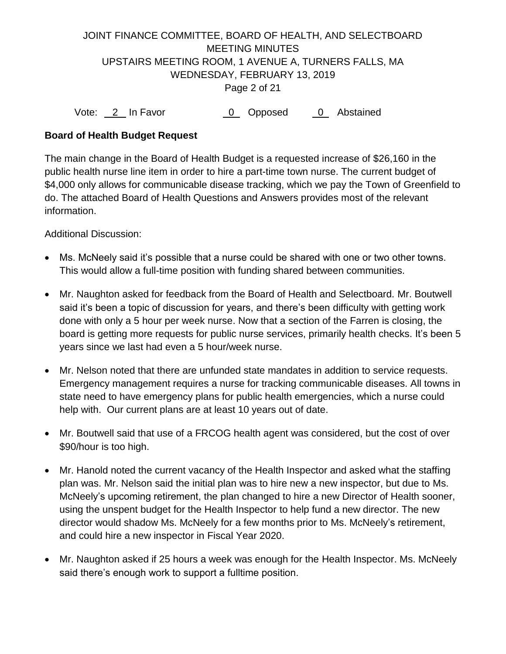# JOINT FINANCE COMMITTEE, BOARD OF HEALTH, AND SELECTBOARD MEETING MINUTES UPSTAIRS MEETING ROOM, 1 AVENUE A, TURNERS FALLS, MA WEDNESDAY, FEBRUARY 13, 2019 Page 2 of 21

Vote: 2 In Favor 0 Opposed 0 Abstained

### **Board of Health Budget Request**

The main change in the Board of Health Budget is a requested increase of \$26,160 in the public health nurse line item in order to hire a part-time town nurse. The current budget of \$4,000 only allows for communicable disease tracking, which we pay the Town of Greenfield to do. The attached Board of Health Questions and Answers provides most of the relevant information.

Additional Discussion:

- Ms. McNeely said it's possible that a nurse could be shared with one or two other towns. This would allow a full-time position with funding shared between communities.
- Mr. Naughton asked for feedback from the Board of Health and Selectboard. Mr. Boutwell said it's been a topic of discussion for years, and there's been difficulty with getting work done with only a 5 hour per week nurse. Now that a section of the Farren is closing, the board is getting more requests for public nurse services, primarily health checks. It's been 5 years since we last had even a 5 hour/week nurse.
- Mr. Nelson noted that there are unfunded state mandates in addition to service requests. Emergency management requires a nurse for tracking communicable diseases. All towns in state need to have emergency plans for public health emergencies, which a nurse could help with. Our current plans are at least 10 years out of date.
- Mr. Boutwell said that use of a FRCOG health agent was considered, but the cost of over \$90/hour is too high.
- Mr. Hanold noted the current vacancy of the Health Inspector and asked what the staffing plan was. Mr. Nelson said the initial plan was to hire new a new inspector, but due to Ms. McNeely's upcoming retirement, the plan changed to hire a new Director of Health sooner, using the unspent budget for the Health Inspector to help fund a new director. The new director would shadow Ms. McNeely for a few months prior to Ms. McNeely's retirement, and could hire a new inspector in Fiscal Year 2020.
- Mr. Naughton asked if 25 hours a week was enough for the Health Inspector. Ms. McNeely said there's enough work to support a fulltime position.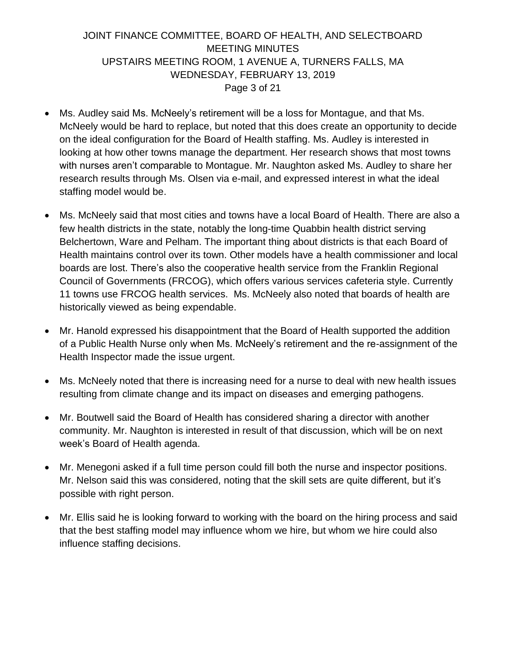## JOINT FINANCE COMMITTEE, BOARD OF HEALTH, AND SELECTBOARD MEETING MINUTES UPSTAIRS MEETING ROOM, 1 AVENUE A, TURNERS FALLS, MA WEDNESDAY, FEBRUARY 13, 2019 Page 3 of 21

- Ms. Audley said Ms. McNeely's retirement will be a loss for Montague, and that Ms. McNeely would be hard to replace, but noted that this does create an opportunity to decide on the ideal configuration for the Board of Health staffing. Ms. Audley is interested in looking at how other towns manage the department. Her research shows that most towns with nurses aren't comparable to Montague. Mr. Naughton asked Ms. Audley to share her research results through Ms. Olsen via e-mail, and expressed interest in what the ideal staffing model would be.
- Ms. McNeely said that most cities and towns have a local Board of Health. There are also a few health districts in the state, notably the long-time Quabbin health district serving Belchertown, Ware and Pelham. The important thing about districts is that each Board of Health maintains control over its town. Other models have a health commissioner and local boards are lost. There's also the cooperative health service from the Franklin Regional Council of Governments (FRCOG), which offers various services cafeteria style. Currently 11 towns use FRCOG health services. Ms. McNeely also noted that boards of health are historically viewed as being expendable.
- Mr. Hanold expressed his disappointment that the Board of Health supported the addition of a Public Health Nurse only when Ms. McNeely's retirement and the re-assignment of the Health Inspector made the issue urgent.
- Ms. McNeely noted that there is increasing need for a nurse to deal with new health issues resulting from climate change and its impact on diseases and emerging pathogens.
- Mr. Boutwell said the Board of Health has considered sharing a director with another community. Mr. Naughton is interested in result of that discussion, which will be on next week's Board of Health agenda.
- Mr. Menegoni asked if a full time person could fill both the nurse and inspector positions. Mr. Nelson said this was considered, noting that the skill sets are quite different, but it's possible with right person.
- Mr. Ellis said he is looking forward to working with the board on the hiring process and said that the best staffing model may influence whom we hire, but whom we hire could also influence staffing decisions.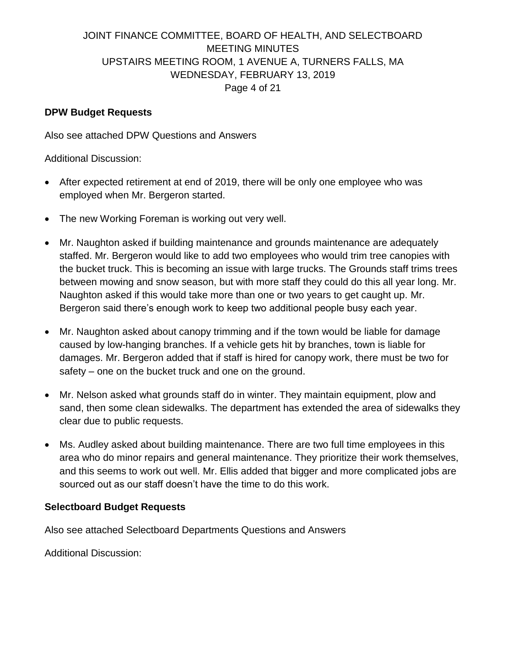# JOINT FINANCE COMMITTEE, BOARD OF HEALTH, AND SELECTBOARD MEETING MINUTES UPSTAIRS MEETING ROOM, 1 AVENUE A, TURNERS FALLS, MA WEDNESDAY, FEBRUARY 13, 2019 Page 4 of 21

#### **DPW Budget Requests**

Also see attached DPW Questions and Answers

Additional Discussion:

- After expected retirement at end of 2019, there will be only one employee who was employed when Mr. Bergeron started.
- The new Working Foreman is working out very well.
- Mr. Naughton asked if building maintenance and grounds maintenance are adequately staffed. Mr. Bergeron would like to add two employees who would trim tree canopies with the bucket truck. This is becoming an issue with large trucks. The Grounds staff trims trees between mowing and snow season, but with more staff they could do this all year long. Mr. Naughton asked if this would take more than one or two years to get caught up. Mr. Bergeron said there's enough work to keep two additional people busy each year.
- Mr. Naughton asked about canopy trimming and if the town would be liable for damage caused by low-hanging branches. If a vehicle gets hit by branches, town is liable for damages. Mr. Bergeron added that if staff is hired for canopy work, there must be two for safety – one on the bucket truck and one on the ground.
- Mr. Nelson asked what grounds staff do in winter. They maintain equipment, plow and sand, then some clean sidewalks. The department has extended the area of sidewalks they clear due to public requests.
- Ms. Audley asked about building maintenance. There are two full time employees in this area who do minor repairs and general maintenance. They prioritize their work themselves, and this seems to work out well. Mr. Ellis added that bigger and more complicated jobs are sourced out as our staff doesn't have the time to do this work.

#### **Selectboard Budget Requests**

Also see attached Selectboard Departments Questions and Answers

Additional Discussion: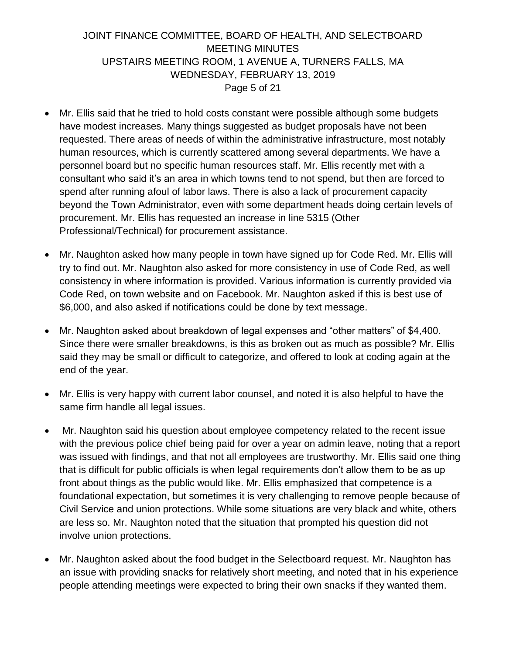## JOINT FINANCE COMMITTEE, BOARD OF HEALTH, AND SELECTBOARD MEETING MINUTES UPSTAIRS MEETING ROOM, 1 AVENUE A, TURNERS FALLS, MA WEDNESDAY, FEBRUARY 13, 2019 Page 5 of 21

- Mr. Ellis said that he tried to hold costs constant were possible although some budgets have modest increases. Many things suggested as budget proposals have not been requested. There areas of needs of within the administrative infrastructure, most notably human resources, which is currently scattered among several departments. We have a personnel board but no specific human resources staff. Mr. Ellis recently met with a consultant who said it's an area in which towns tend to not spend, but then are forced to spend after running afoul of labor laws. There is also a lack of procurement capacity beyond the Town Administrator, even with some department heads doing certain levels of procurement. Mr. Ellis has requested an increase in line 5315 (Other Professional/Technical) for procurement assistance.
- Mr. Naughton asked how many people in town have signed up for Code Red. Mr. Ellis will try to find out. Mr. Naughton also asked for more consistency in use of Code Red, as well consistency in where information is provided. Various information is currently provided via Code Red, on town website and on Facebook. Mr. Naughton asked if this is best use of \$6,000, and also asked if notifications could be done by text message.
- Mr. Naughton asked about breakdown of legal expenses and "other matters" of \$4,400. Since there were smaller breakdowns, is this as broken out as much as possible? Mr. Ellis said they may be small or difficult to categorize, and offered to look at coding again at the end of the year.
- Mr. Ellis is very happy with current labor counsel, and noted it is also helpful to have the same firm handle all legal issues.
- Mr. Naughton said his question about employee competency related to the recent issue with the previous police chief being paid for over a year on admin leave, noting that a report was issued with findings, and that not all employees are trustworthy. Mr. Ellis said one thing that is difficult for public officials is when legal requirements don't allow them to be as up front about things as the public would like. Mr. Ellis emphasized that competence is a foundational expectation, but sometimes it is very challenging to remove people because of Civil Service and union protections. While some situations are very black and white, others are less so. Mr. Naughton noted that the situation that prompted his question did not involve union protections.
- Mr. Naughton asked about the food budget in the Selectboard request. Mr. Naughton has an issue with providing snacks for relatively short meeting, and noted that in his experience people attending meetings were expected to bring their own snacks if they wanted them.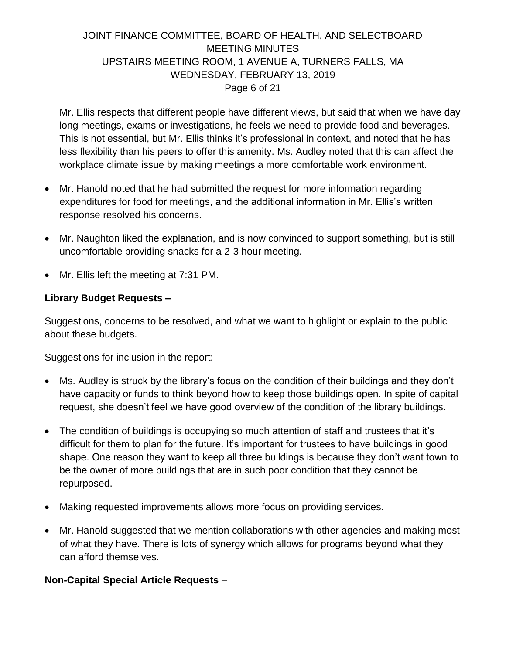# JOINT FINANCE COMMITTEE, BOARD OF HEALTH, AND SELECTBOARD MEETING MINUTES UPSTAIRS MEETING ROOM, 1 AVENUE A, TURNERS FALLS, MA WEDNESDAY, FEBRUARY 13, 2019 Page 6 of 21

Mr. Ellis respects that different people have different views, but said that when we have day long meetings, exams or investigations, he feels we need to provide food and beverages. This is not essential, but Mr. Ellis thinks it's professional in context, and noted that he has less flexibility than his peers to offer this amenity. Ms. Audley noted that this can affect the workplace climate issue by making meetings a more comfortable work environment.

- Mr. Hanold noted that he had submitted the request for more information regarding expenditures for food for meetings, and the additional information in Mr. Ellis's written response resolved his concerns.
- Mr. Naughton liked the explanation, and is now convinced to support something, but is still uncomfortable providing snacks for a 2-3 hour meeting.
- Mr. Ellis left the meeting at 7:31 PM.

### **Library Budget Requests –**

Suggestions, concerns to be resolved, and what we want to highlight or explain to the public about these budgets.

Suggestions for inclusion in the report:

- Ms. Audley is struck by the library's focus on the condition of their buildings and they don't have capacity or funds to think beyond how to keep those buildings open. In spite of capital request, she doesn't feel we have good overview of the condition of the library buildings.
- The condition of buildings is occupying so much attention of staff and trustees that it's difficult for them to plan for the future. It's important for trustees to have buildings in good shape. One reason they want to keep all three buildings is because they don't want town to be the owner of more buildings that are in such poor condition that they cannot be repurposed.
- Making requested improvements allows more focus on providing services.
- Mr. Hanold suggested that we mention collaborations with other agencies and making most of what they have. There is lots of synergy which allows for programs beyond what they can afford themselves.

### **Non-Capital Special Article Requests** –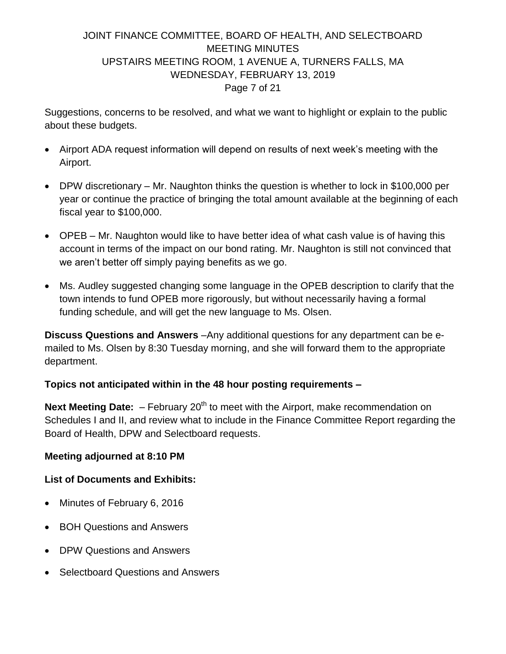# JOINT FINANCE COMMITTEE, BOARD OF HEALTH, AND SELECTBOARD MEETING MINUTES UPSTAIRS MEETING ROOM, 1 AVENUE A, TURNERS FALLS, MA WEDNESDAY, FEBRUARY 13, 2019 Page 7 of 21

Suggestions, concerns to be resolved, and what we want to highlight or explain to the public about these budgets.

- Airport ADA request information will depend on results of next week's meeting with the Airport.
- DPW discretionary Mr. Naughton thinks the question is whether to lock in \$100,000 per year or continue the practice of bringing the total amount available at the beginning of each fiscal year to \$100,000.
- OPEB Mr. Naughton would like to have better idea of what cash value is of having this account in terms of the impact on our bond rating. Mr. Naughton is still not convinced that we aren't better off simply paying benefits as we go.
- Ms. Audley suggested changing some language in the OPEB description to clarify that the town intends to fund OPEB more rigorously, but without necessarily having a formal funding schedule, and will get the new language to Ms. Olsen.

**Discuss Questions and Answers** –Any additional questions for any department can be emailed to Ms. Olsen by 8:30 Tuesday morning, and she will forward them to the appropriate department.

### **Topics not anticipated within in the 48 hour posting requirements –**

**Next Meeting Date:** - February 20<sup>th</sup> to meet with the Airport, make recommendation on Schedules I and II, and review what to include in the Finance Committee Report regarding the Board of Health, DPW and Selectboard requests.

#### **Meeting adjourned at 8:10 PM**

### **List of Documents and Exhibits:**

- Minutes of February 6, 2016
- BOH Questions and Answers
- DPW Questions and Answers
- Selectboard Questions and Answers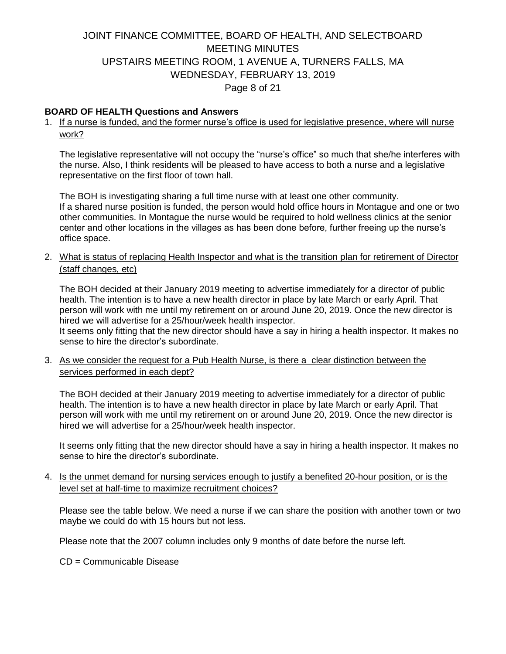# JOINT FINANCE COMMITTEE, BOARD OF HEALTH, AND SELECTBOARD MEETING MINUTES UPSTAIRS MEETING ROOM, 1 AVENUE A, TURNERS FALLS, MA WEDNESDAY, FEBRUARY 13, 2019 Page 8 of 21

#### **BOARD OF HEALTH Questions and Answers**

1. If a nurse is funded, and the former nurse's office is used for legislative presence, where will nurse work?

The legislative representative will not occupy the "nurse's office" so much that she/he interferes with the nurse. Also, I think residents will be pleased to have access to both a nurse and a legislative representative on the first floor of town hall.

The BOH is investigating sharing a full time nurse with at least one other community. If a shared nurse position is funded, the person would hold office hours in Montague and one or two other communities. In Montague the nurse would be required to hold wellness clinics at the senior center and other locations in the villages as has been done before, further freeing up the nurse's office space.

2. What is status of replacing Health Inspector and what is the transition plan for retirement of Director (staff changes, etc)

The BOH decided at their January 2019 meeting to advertise immediately for a director of public health. The intention is to have a new health director in place by late March or early April. That person will work with me until my retirement on or around June 20, 2019. Once the new director is hired we will advertise for a 25/hour/week health inspector.

It seems only fitting that the new director should have a say in hiring a health inspector. It makes no sense to hire the director's subordinate.

3. As we consider the request for a Pub Health Nurse, is there a clear distinction between the services performed in each dept?

The BOH decided at their January 2019 meeting to advertise immediately for a director of public health. The intention is to have a new health director in place by late March or early April. That person will work with me until my retirement on or around June 20, 2019. Once the new director is hired we will advertise for a 25/hour/week health inspector.

It seems only fitting that the new director should have a say in hiring a health inspector. It makes no sense to hire the director's subordinate.

4. Is the unmet demand for nursing services enough to justify a benefited 20-hour position, or is the level set at half-time to maximize recruitment choices?

Please see the table below. We need a nurse if we can share the position with another town or two maybe we could do with 15 hours but not less.

Please note that the 2007 column includes only 9 months of date before the nurse left.

CD = Communicable Disease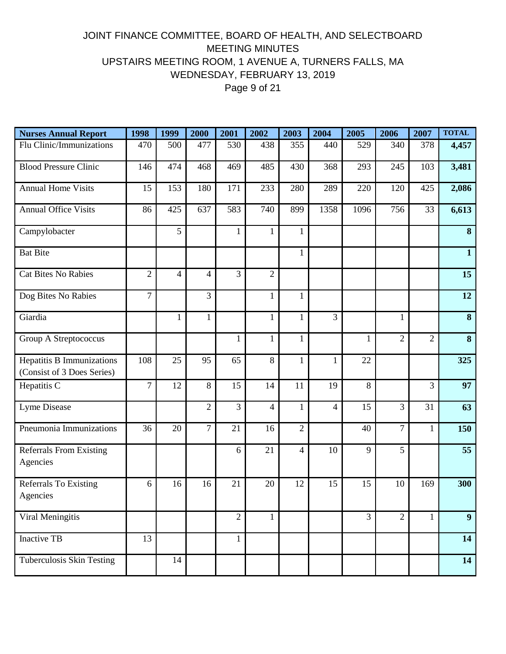# JOINT FINANCE COMMITTEE, BOARD OF HEALTH, AND SELECTBOARD MEETING MINUTES UPSTAIRS MEETING ROOM, 1 AVENUE A, TURNERS FALLS, MA WEDNESDAY, FEBRUARY 13, 2019 Page 9 of 21

| <b>Nurses Annual Report</b>                             | 1998           | 1999           | 2000           | 2001           | 2002           | 2003           | 2004           | 2005           | 2006           | 2007           | <b>TOTAL</b>   |
|---------------------------------------------------------|----------------|----------------|----------------|----------------|----------------|----------------|----------------|----------------|----------------|----------------|----------------|
| Flu Clinic/Immunizations                                | 470            | 500            | 477            | 530            | 438            | 355            | 440            | 529            | 340            | 378            | 4,457          |
| <b>Blood Pressure Clinic</b>                            | 146            | 474            | 468            | 469            | 485            | 430            | 368            | 293            | 245            | 103            | 3,481          |
| <b>Annual Home Visits</b>                               | 15             | 153            | 180            | 171            | 233            | 280            | 289            | 220            | 120            | 425            | 2,086          |
| <b>Annual Office Visits</b>                             | 86             | 425            | 637            | 583            | 740            | 899            | 1358           | 1096           | 756            | 33             | 6,613          |
| Campylobacter                                           |                | 5              |                | $\mathbf{1}$   | 1              | 1              |                |                |                |                | 8              |
| <b>Bat Bite</b>                                         |                |                |                |                |                | $\mathbf{1}$   |                |                |                |                | $\mathbf{1}$   |
| <b>Cat Bites No Rabies</b>                              | $\overline{2}$ | $\overline{4}$ | 4              | 3              | $\overline{2}$ |                |                |                |                |                | 15             |
| Dog Bites No Rabies                                     | $\overline{7}$ |                | 3              |                | 1              | $\mathbf{1}$   |                |                |                |                | 12             |
| Giardia                                                 |                | 1              | $\mathbf{1}$   |                | 1              | 1              | 3              |                | 1              |                | 8              |
| Group A Streptococcus                                   |                |                |                | $\mathbf{1}$   | $\mathbf{1}$   | $\mathbf{1}$   |                | $\mathbf{1}$   | $\overline{2}$ | $\overline{2}$ | 8              |
| Hepatitis B Immunizations<br>(Consist of 3 Does Series) | 108            | 25             | 95             | 65             | 8              | $\mathbf{1}$   | $\mathbf{1}$   | 22             |                |                | 325            |
| Hepatitis C                                             | $\overline{7}$ | 12             | 8              | 15             | 14             | 11             | 19             | 8              |                | 3              | 97             |
| Lyme Disease                                            |                |                | $\overline{2}$ | 3              | $\overline{4}$ | $\mathbf{1}$   | $\overline{4}$ | 15             | 3              | 31             | 63             |
| Pneumonia Immunizations                                 | 36             | 20             | $\overline{7}$ | 21             | 16             | $\overline{2}$ |                | 40             | $\overline{7}$ | $\mathbf{1}$   | 150            |
| <b>Referrals From Existing</b><br>Agencies              |                |                |                | 6              | 21             | 4              | 10             | 9              | 5              |                | 55             |
| <b>Referrals To Existing</b><br>Agencies                | 6              | 16             | 16             | 21             | 20             | 12             | 15             | 15             | 10             | 169            | 300            |
| Viral Meningitis                                        |                |                |                | $\overline{2}$ | 1              |                |                | $\overline{3}$ | $\overline{2}$ | $\mathbf{1}$   | 9 <sup>°</sup> |
| Inactive TB                                             | 13             |                |                | $\mathbf{1}$   |                |                |                |                |                |                | 14             |
| Tuberculosis Skin Testing                               |                | 14             |                |                |                |                |                |                |                |                | 14             |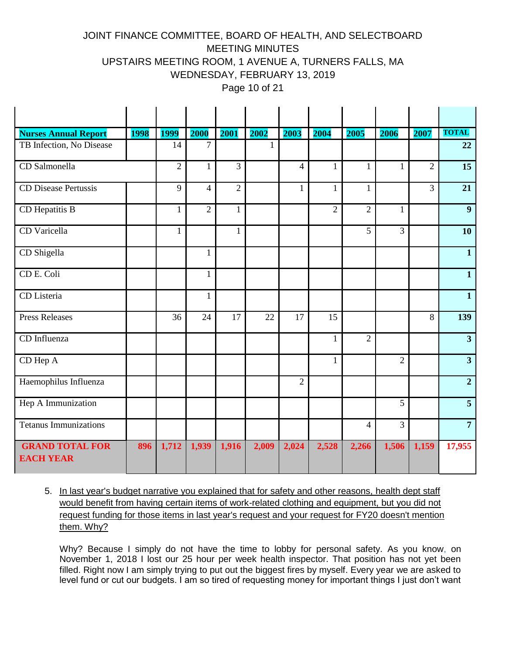# JOINT FINANCE COMMITTEE, BOARD OF HEALTH, AND SELECTBOARD MEETING MINUTES UPSTAIRS MEETING ROOM, 1 AVENUE A, TURNERS FALLS, MA WEDNESDAY, FEBRUARY 13, 2019

Page 10 of 21

| <b>Nurses Annual Report</b>                | <b>1998</b> | <b>1999</b>    | 2000           | 2001           | 2002  | 2003           | 2004           | 2005           | 2006           | 2007           | <b>TOTAL</b>            |
|--------------------------------------------|-------------|----------------|----------------|----------------|-------|----------------|----------------|----------------|----------------|----------------|-------------------------|
| TB Infection, No Disease                   |             | 14             | $\tau$         |                | 1     |                |                |                |                |                | 22                      |
| CD Salmonella                              |             | $\overline{2}$ | $\mathbf{1}$   | $\overline{3}$ |       | $\overline{4}$ | $\mathbf{1}$   | $\mathbf{1}$   | 1              | $\overline{2}$ | $\overline{15}$         |
| <b>CD Disease Pertussis</b>                |             | 9              | $\overline{4}$ | $\overline{2}$ |       | $\mathbf{1}$   | 1              | $\mathbf{1}$   |                | 3              | 21                      |
| CD Hepatitis B                             |             | 1              | $\overline{2}$ | $\mathbf{1}$   |       |                | $\overline{2}$ | $\overline{2}$ | 1              |                | 9                       |
| CD Varicella                               |             | $\mathbf{1}$   |                | $\mathbf{1}$   |       |                |                | 5              | 3              |                | 10                      |
| CD Shigella                                |             |                | 1              |                |       |                |                |                |                |                | $\mathbf{1}$            |
| CD E. Coli                                 |             |                | $\mathbf{1}$   |                |       |                |                |                |                |                | $\mathbf{1}$            |
| CD Listeria                                |             |                | $\mathbf{1}$   |                |       |                |                |                |                |                | $\mathbf{1}$            |
| <b>Press Releases</b>                      |             | 36             | 24             | 17             | 22    | 17             | 15             |                |                | 8              | 139                     |
| CD Influenza                               |             |                |                |                |       |                | $\mathbf{1}$   | $\overline{2}$ |                |                | $\overline{\mathbf{3}}$ |
| CD Hep A                                   |             |                |                |                |       |                | $\mathbf{1}$   |                | $\overline{2}$ |                | 3 <sup>1</sup>          |
| Haemophilus Influenza                      |             |                |                |                |       | $\overline{2}$ |                |                |                |                | $\overline{2}$          |
| Hep A Immunization                         |             |                |                |                |       |                |                |                | 5              |                | 5 <sup>1</sup>          |
| <b>Tetanus Immunizations</b>               |             |                |                |                |       |                |                | $\overline{4}$ | $\overline{3}$ |                | $\overline{7}$          |
| <b>GRAND TOTAL FOR</b><br><b>EACH YEAR</b> | 896         | 1,712          | 1,939          | 1,916          | 2,009 | 2,024          | 2,528          | 2,266          | 1,506          | 1,159          | 17,955                  |

5. In last year's budget narrative you explained that for safety and other reasons, health dept staff would benefit from having certain items of work-related clothing and equipment, but you did not request funding for those items in last year's request and your request for FY20 doesn't mention them. Why?

Why? Because I simply do not have the time to lobby for personal safety. As you know, on November 1, 2018 I lost our 25 hour per week health inspector. That position has not yet been filled. Right now I am simply trying to put out the biggest fires by myself. Every year we are asked to level fund or cut our budgets. I am so tired of requesting money for important things I just don't want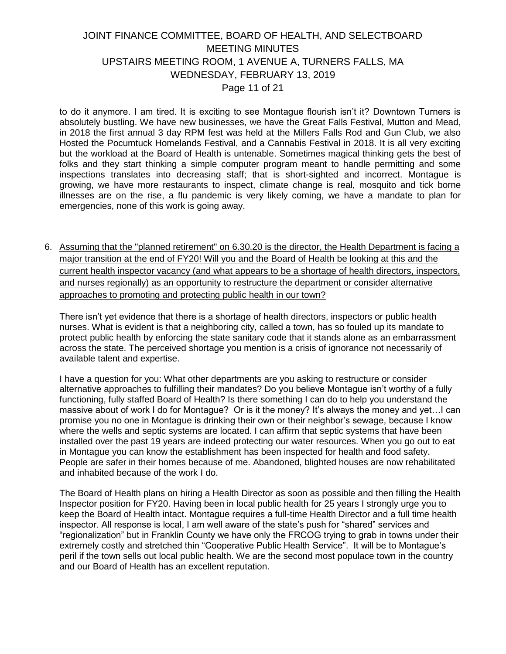### JOINT FINANCE COMMITTEE, BOARD OF HEALTH, AND SELECTBOARD MEETING MINUTES UPSTAIRS MEETING ROOM, 1 AVENUE A, TURNERS FALLS, MA WEDNESDAY, FEBRUARY 13, 2019 Page 11 of 21

to do it anymore. I am tired. It is exciting to see Montague flourish isn't it? Downtown Turners is absolutely bustling. We have new businesses, we have the Great Falls Festival, Mutton and Mead, in 2018 the first annual 3 day RPM fest was held at the Millers Falls Rod and Gun Club, we also Hosted the Pocumtuck Homelands Festival, and a Cannabis Festival in 2018. It is all very exciting but the workload at the Board of Health is untenable. Sometimes magical thinking gets the best of folks and they start thinking a simple computer program meant to handle permitting and some inspections translates into decreasing staff; that is short-sighted and incorrect. Montague is growing, we have more restaurants to inspect, climate change is real, mosquito and tick borne illnesses are on the rise, a flu pandemic is very likely coming, we have a mandate to plan for emergencies, none of this work is going away.

6. Assuming that the "planned retirement" on 6.30.20 is the director, the Health Department is facing a major transition at the end of FY20! Will you and the Board of Health be looking at this and the current health inspector vacancy (and what appears to be a shortage of health directors, inspectors, and nurses regionally) as an opportunity to restructure the department or consider alternative approaches to promoting and protecting public health in our town?

There isn't yet evidence that there is a shortage of health directors, inspectors or public health nurses. What is evident is that a neighboring city, called a town, has so fouled up its mandate to protect public health by enforcing the state sanitary code that it stands alone as an embarrassment across the state. The perceived shortage you mention is a crisis of ignorance not necessarily of available talent and expertise.

I have a question for you: What other departments are you asking to restructure or consider alternative approaches to fulfilling their mandates? Do you believe Montague isn't worthy of a fully functioning, fully staffed Board of Health? Is there something I can do to help you understand the massive about of work I do for Montague? Or is it the money? It's always the money and yet…I can promise you no one in Montague is drinking their own or their neighbor's sewage, because I know where the wells and septic systems are located. I can affirm that septic systems that have been installed over the past 19 years are indeed protecting our water resources. When you go out to eat in Montague you can know the establishment has been inspected for health and food safety. People are safer in their homes because of me. Abandoned, blighted houses are now rehabilitated and inhabited because of the work I do.

The Board of Health plans on hiring a Health Director as soon as possible and then filling the Health Inspector position for FY20. Having been in local public health for 25 years I strongly urge you to keep the Board of Health intact. Montague requires a full-time Health Director and a full time health inspector. All response is local, I am well aware of the state's push for "shared" services and "regionalization" but in Franklin County we have only the FRCOG trying to grab in towns under their extremely costly and stretched thin "Cooperative Public Health Service". It will be to Montague's peril if the town sells out local public health. We are the second most populace town in the country and our Board of Health has an excellent reputation.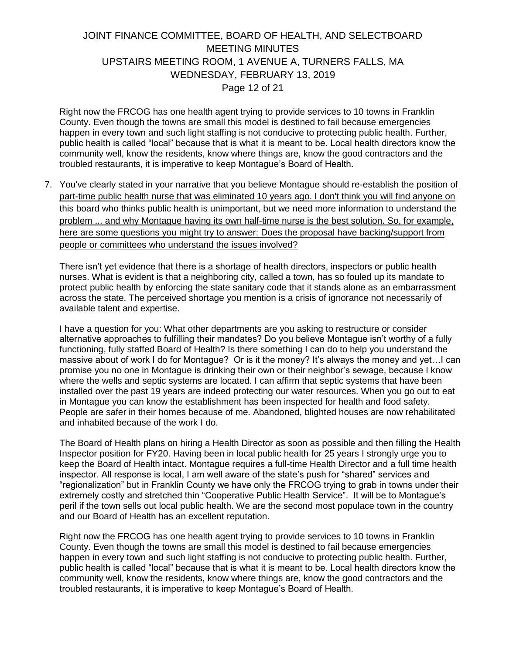### JOINT FINANCE COMMITTEE, BOARD OF HEALTH, AND SELECTBOARD MEETING MINUTES UPSTAIRS MEETING ROOM, 1 AVENUE A, TURNERS FALLS, MA WEDNESDAY, FEBRUARY 13, 2019 Page 12 of 21

Right now the FRCOG has one health agent trying to provide services to 10 towns in Franklin County. Even though the towns are small this model is destined to fail because emergencies happen in every town and such light staffing is not conducive to protecting public health. Further, public health is called "local" because that is what it is meant to be. Local health directors know the community well, know the residents, know where things are, know the good contractors and the troubled restaurants, it is imperative to keep Montague's Board of Health.

7. You've clearly stated in your narrative that you believe Montague should re-establish the position of part-time public health nurse that was eliminated 10 years ago. I don't think you will find anyone on this board who thinks public health is unimportant, but we need more information to understand the problem ... and why Montague having its own half-time nurse is the best solution. So, for example, here are some questions you might try to answer: Does the proposal have backing/support from people or committees who understand the issues involved?

There isn't yet evidence that there is a shortage of health directors, inspectors or public health nurses. What is evident is that a neighboring city, called a town, has so fouled up its mandate to protect public health by enforcing the state sanitary code that it stands alone as an embarrassment across the state. The perceived shortage you mention is a crisis of ignorance not necessarily of available talent and expertise.

I have a question for you: What other departments are you asking to restructure or consider alternative approaches to fulfilling their mandates? Do you believe Montague isn't worthy of a fully functioning, fully staffed Board of Health? Is there something I can do to help you understand the massive about of work I do for Montague? Or is it the money? It's always the money and yet…I can promise you no one in Montague is drinking their own or their neighbor's sewage, because I know where the wells and septic systems are located. I can affirm that septic systems that have been installed over the past 19 years are indeed protecting our water resources. When you go out to eat in Montague you can know the establishment has been inspected for health and food safety. People are safer in their homes because of me. Abandoned, blighted houses are now rehabilitated and inhabited because of the work I do.

The Board of Health plans on hiring a Health Director as soon as possible and then filling the Health Inspector position for FY20. Having been in local public health for 25 years I strongly urge you to keep the Board of Health intact. Montague requires a full-time Health Director and a full time health inspector. All response is local, I am well aware of the state's push for "shared" services and "regionalization" but in Franklin County we have only the FRCOG trying to grab in towns under their extremely costly and stretched thin "Cooperative Public Health Service". It will be to Montague's peril if the town sells out local public health. We are the second most populace town in the country and our Board of Health has an excellent reputation.

Right now the FRCOG has one health agent trying to provide services to 10 towns in Franklin County. Even though the towns are small this model is destined to fail because emergencies happen in every town and such light staffing is not conducive to protecting public health. Further, public health is called "local" because that is what it is meant to be. Local health directors know the community well, know the residents, know where things are, know the good contractors and the troubled restaurants, it is imperative to keep Montague's Board of Health.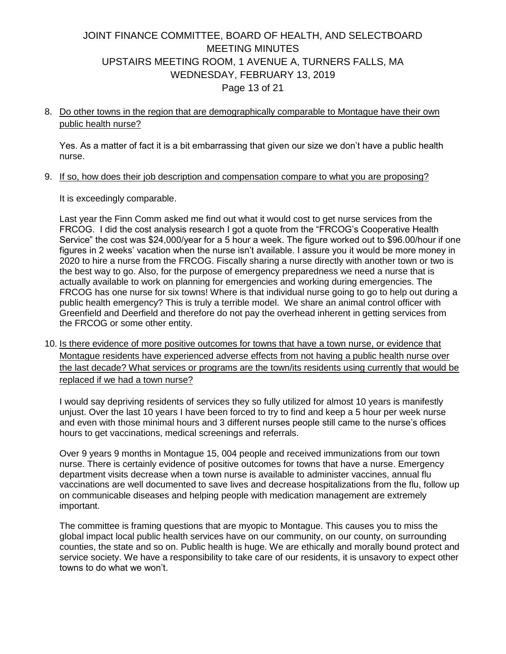## JOINT FINANCE COMMITTEE, BOARD OF HEALTH, AND SELECTBOARD MEETING MINUTES UPSTAIRS MEETING ROOM, 1 AVENUE A, TURNERS FALLS, MA WEDNESDAY, FEBRUARY 13, 2019 Page 13 of 21

8. Do other towns in the region that are demographically comparable to Montague have their own public health nurse?

Yes. As a matter of fact it is a bit embarrassing that given our size we don't have a public health nurse.

9. If so, how does their job description and compensation compare to what you are proposing?

It is exceedingly comparable.

Last year the Finn Comm asked me find out what it would cost to get nurse services from the FRCOG. I did the cost analysis research I got a quote from the "FRCOG's Cooperative Health Service" the cost was \$24,000/year for a 5 hour a week. The figure worked out to \$96.00/hour if one figures in 2 weeks' vacation when the nurse isn't available. I assure you it would be more money in 2020 to hire a nurse from the FRCOG. Fiscally sharing a nurse directly with another town or two is the best way to go. Also, for the purpose of emergency preparedness we need a nurse that is actually available to work on planning for emergencies and working during emergencies. The FRCOG has one nurse for six towns! Where is that individual nurse going to go to help out during a public health emergency? This is truly a terrible model. We share an animal control officer with Greenfield and Deerfield and therefore do not pay the overhead inherent in getting services from the FRCOG or some other entity.

10. Is there evidence of more positive outcomes for towns that have a town nurse, or evidence that Montague residents have experienced adverse effects from not having a public health nurse over the last decade? What services or programs are the town/its residents using currently that would be replaced if we had a town nurse?

I would say depriving residents of services they so fully utilized for almost 10 years is manifestly unjust. Over the last 10 years I have been forced to try to find and keep a 5 hour per week nurse and even with those minimal hours and 3 different nurses people still came to the nurse's offices hours to get vaccinations, medical screenings and referrals.

Over 9 years 9 months in Montague 15, 004 people and received immunizations from our town nurse. There is certainly evidence of positive outcomes for towns that have a nurse. Emergency department visits decrease when a town nurse is available to administer vaccines, annual flu vaccinations are well documented to save lives and decrease hospitalizations from the flu, follow up on communicable diseases and helping people with medication management are extremely important.

The committee is framing questions that are myopic to Montague. This causes you to miss the global impact local public health services have on our community, on our county, on surrounding counties, the state and so on. Public health is huge. We are ethically and morally bound protect and service society. We have a responsibility to take care of our residents, it is unsavory to expect other towns to do what we won't.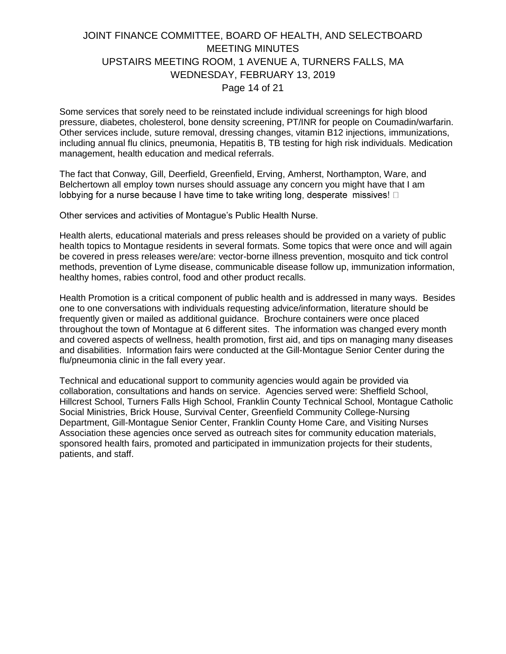### JOINT FINANCE COMMITTEE, BOARD OF HEALTH, AND SELECTBOARD MEETING MINUTES UPSTAIRS MEETING ROOM, 1 AVENUE A, TURNERS FALLS, MA WEDNESDAY, FEBRUARY 13, 2019 Page 14 of 21

Some services that sorely need to be reinstated include individual screenings for high blood pressure, diabetes, cholesterol, bone density screening, PT/INR for people on Coumadin/warfarin. Other services include, suture removal, dressing changes, vitamin B12 injections, immunizations, including annual flu clinics, pneumonia, Hepatitis B, TB testing for high risk individuals. Medication management, health education and medical referrals.

The fact that Conway, Gill, Deerfield, Greenfield, Erving, Amherst, Northampton, Ware, and Belchertown all employ town nurses should assuage any concern you might have that I am lobbying for a nurse because I have time to take writing long, desperate missives!  $\square$ 

Other services and activities of Montague's Public Health Nurse.

Health alerts, educational materials and press releases should be provided on a variety of public health topics to Montague residents in several formats. Some topics that were once and will again be covered in press releases were/are: vector-borne illness prevention, mosquito and tick control methods, prevention of Lyme disease, communicable disease follow up, immunization information, healthy homes, rabies control, food and other product recalls.

Health Promotion is a critical component of public health and is addressed in many ways. Besides one to one conversations with individuals requesting advice/information, literature should be frequently given or mailed as additional guidance. Brochure containers were once placed throughout the town of Montague at 6 different sites. The information was changed every month and covered aspects of wellness, health promotion, first aid, and tips on managing many diseases and disabilities. Information fairs were conducted at the Gill-Montague Senior Center during the flu/pneumonia clinic in the fall every year.

Technical and educational support to community agencies would again be provided via collaboration, consultations and hands on service. Agencies served were: Sheffield School, Hillcrest School, Turners Falls High School, Franklin County Technical School, Montague Catholic Social Ministries, Brick House, Survival Center, Greenfield Community College-Nursing Department, Gill-Montague Senior Center, Franklin County Home Care, and Visiting Nurses Association these agencies once served as outreach sites for community education materials, sponsored health fairs, promoted and participated in immunization projects for their students, patients, and staff.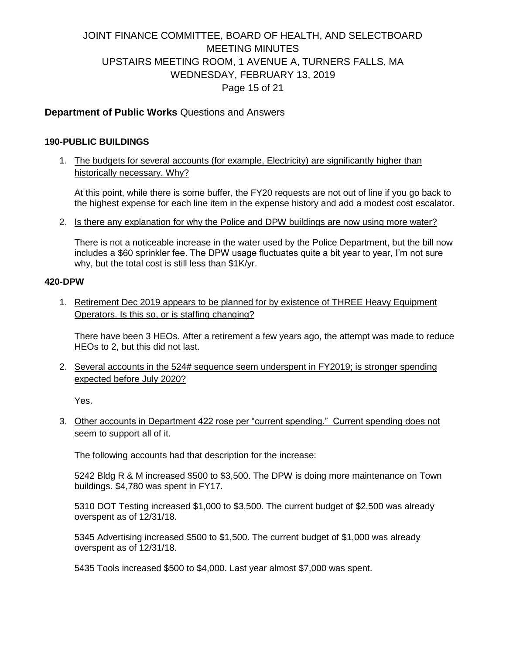# JOINT FINANCE COMMITTEE, BOARD OF HEALTH, AND SELECTBOARD MEETING MINUTES UPSTAIRS MEETING ROOM, 1 AVENUE A, TURNERS FALLS, MA WEDNESDAY, FEBRUARY 13, 2019 Page 15 of 21

#### **Department of Public Works** Questions and Answers

#### **190-PUBLIC BUILDINGS**

1. The budgets for several accounts (for example, Electricity) are significantly higher than historically necessary. Why?

At this point, while there is some buffer, the FY20 requests are not out of line if you go back to the highest expense for each line item in the expense history and add a modest cost escalator.

2. Is there any explanation for why the Police and DPW buildings are now using more water?

There is not a noticeable increase in the water used by the Police Department, but the bill now includes a \$60 sprinkler fee. The DPW usage fluctuates quite a bit year to year, I'm not sure why, but the total cost is still less than \$1K/yr.

#### **420-DPW**

1. Retirement Dec 2019 appears to be planned for by existence of THREE Heavy Equipment Operators. Is this so, or is staffing changing?

There have been 3 HEOs. After a retirement a few years ago, the attempt was made to reduce HEOs to 2, but this did not last.

2. Several accounts in the 524# sequence seem underspent in FY2019; is stronger spending expected before July 2020?

Yes.

3. Other accounts in Department 422 rose per "current spending." Current spending does not seem to support all of it.

The following accounts had that description for the increase:

5242 Bldg R & M increased \$500 to \$3,500. The DPW is doing more maintenance on Town buildings. \$4,780 was spent in FY17.

5310 DOT Testing increased \$1,000 to \$3,500. The current budget of \$2,500 was already overspent as of 12/31/18.

5345 Advertising increased \$500 to \$1,500. The current budget of \$1,000 was already overspent as of 12/31/18.

5435 Tools increased \$500 to \$4,000. Last year almost \$7,000 was spent.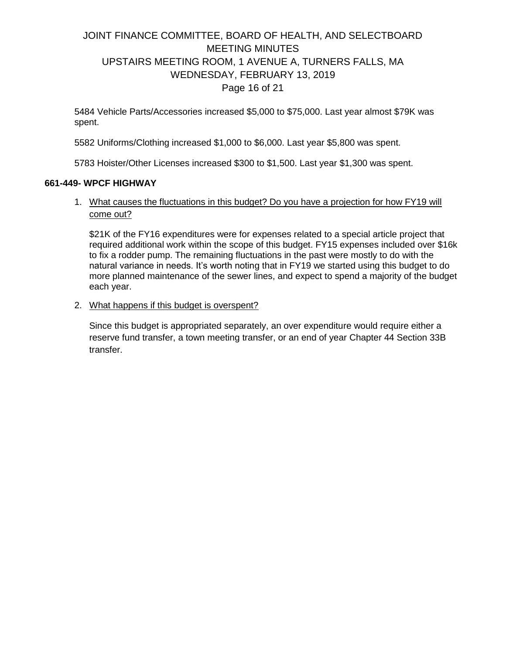## JOINT FINANCE COMMITTEE, BOARD OF HEALTH, AND SELECTBOARD MEETING MINUTES UPSTAIRS MEETING ROOM, 1 AVENUE A, TURNERS FALLS, MA WEDNESDAY, FEBRUARY 13, 2019 Page 16 of 21

5484 Vehicle Parts/Accessories increased \$5,000 to \$75,000. Last year almost \$79K was spent.

5582 Uniforms/Clothing increased \$1,000 to \$6,000. Last year \$5,800 was spent.

5783 Hoister/Other Licenses increased \$300 to \$1,500. Last year \$1,300 was spent.

#### **661-449- WPCF HIGHWAY**

1. What causes the fluctuations in this budget? Do you have a projection for how FY19 will come out?

\$21K of the FY16 expenditures were for expenses related to a special article project that required additional work within the scope of this budget. FY15 expenses included over \$16k to fix a rodder pump. The remaining fluctuations in the past were mostly to do with the natural variance in needs. It's worth noting that in FY19 we started using this budget to do more planned maintenance of the sewer lines, and expect to spend a majority of the budget each year.

2. What happens if this budget is overspent?

Since this budget is appropriated separately, an over expenditure would require either a reserve fund transfer, a town meeting transfer, or an end of year Chapter 44 Section 33B transfer.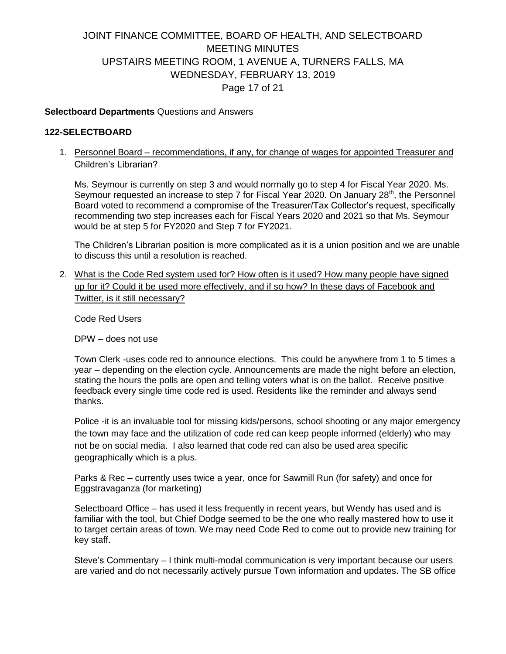# JOINT FINANCE COMMITTEE, BOARD OF HEALTH, AND SELECTBOARD MEETING MINUTES UPSTAIRS MEETING ROOM, 1 AVENUE A, TURNERS FALLS, MA WEDNESDAY, FEBRUARY 13, 2019 Page 17 of 21

#### **Selectboard Departments** Questions and Answers

#### **122-SELECTBOARD**

1. Personnel Board – recommendations, if any, for change of wages for appointed Treasurer and Children's Librarian?

Ms. Seymour is currently on step 3 and would normally go to step 4 for Fiscal Year 2020. Ms. Seymour requested an increase to step 7 for Fiscal Year 2020. On January  $28<sup>th</sup>$ , the Personnel Board voted to recommend a compromise of the Treasurer/Tax Collector's request, specifically recommending two step increases each for Fiscal Years 2020 and 2021 so that Ms. Seymour would be at step 5 for FY2020 and Step 7 for FY2021.

The Children's Librarian position is more complicated as it is a union position and we are unable to discuss this until a resolution is reached.

2. What is the Code Red system used for? How often is it used? How many people have signed up for it? Could it be used more effectively, and if so how? In these days of Facebook and Twitter, is it still necessary?

Code Red Users

DPW – does not use

Town Clerk -uses code red to announce elections. This could be anywhere from 1 to 5 times a year – depending on the election cycle. Announcements are made the night before an election, stating the hours the polls are open and telling voters what is on the ballot. Receive positive feedback every single time code red is used. Residents like the reminder and always send thanks.

Police -it is an invaluable tool for missing kids/persons, school shooting or any major emergency the town may face and the utilization of code red can keep people informed (elderly) who may not be on social media. I also learned that code red can also be used area specific geographically which is a plus.

Parks & Rec – currently uses twice a year, once for Sawmill Run (for safety) and once for Eggstravaganza (for marketing)

Selectboard Office – has used it less frequently in recent years, but Wendy has used and is familiar with the tool, but Chief Dodge seemed to be the one who really mastered how to use it to target certain areas of town. We may need Code Red to come out to provide new training for key staff.

Steve's Commentary – I think multi-modal communication is very important because our users are varied and do not necessarily actively pursue Town information and updates. The SB office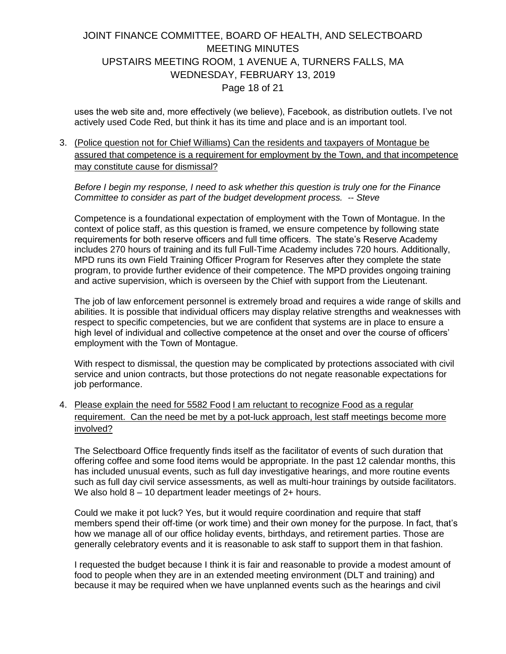# JOINT FINANCE COMMITTEE, BOARD OF HEALTH, AND SELECTBOARD MEETING MINUTES UPSTAIRS MEETING ROOM, 1 AVENUE A, TURNERS FALLS, MA WEDNESDAY, FEBRUARY 13, 2019 Page 18 of 21

uses the web site and, more effectively (we believe), Facebook, as distribution outlets. I've not actively used Code Red, but think it has its time and place and is an important tool.

3. (Police question not for Chief Williams) Can the residents and taxpayers of Montague be assured that competence is a requirement for employment by the Town, and that incompetence may constitute cause for dismissal?

*Before I begin my response, I need to ask whether this question is truly one for the Finance Committee to consider as part of the budget development process. -- Steve* 

Competence is a foundational expectation of employment with the Town of Montague. In the context of police staff, as this question is framed, we ensure competence by following state requirements for both reserve officers and full time officers. The state's Reserve Academy includes 270 hours of training and its full Full-Time Academy includes 720 hours. Additionally, MPD runs its own Field Training Officer Program for Reserves after they complete the state program, to provide further evidence of their competence. The MPD provides ongoing training and active supervision, which is overseen by the Chief with support from the Lieutenant.

The job of law enforcement personnel is extremely broad and requires a wide range of skills and abilities. It is possible that individual officers may display relative strengths and weaknesses with respect to specific competencies, but we are confident that systems are in place to ensure a high level of individual and collective competence at the onset and over the course of officers' employment with the Town of Montague.

With respect to dismissal, the question may be complicated by protections associated with civil service and union contracts, but those protections do not negate reasonable expectations for job performance.

4. Please explain the need for 5582 Food I am reluctant to recognize Food as a regular requirement. Can the need be met by a pot-luck approach, lest staff meetings become more involved?

The Selectboard Office frequently finds itself as the facilitator of events of such duration that offering coffee and some food items would be appropriate. In the past 12 calendar months, this has included unusual events, such as full day investigative hearings, and more routine events such as full day civil service assessments, as well as multi-hour trainings by outside facilitators. We also hold  $8 - 10$  department leader meetings of 2+ hours.

Could we make it pot luck? Yes, but it would require coordination and require that staff members spend their off-time (or work time) and their own money for the purpose. In fact, that's how we manage all of our office holiday events, birthdays, and retirement parties. Those are generally celebratory events and it is reasonable to ask staff to support them in that fashion.

I requested the budget because I think it is fair and reasonable to provide a modest amount of food to people when they are in an extended meeting environment (DLT and training) and because it may be required when we have unplanned events such as the hearings and civil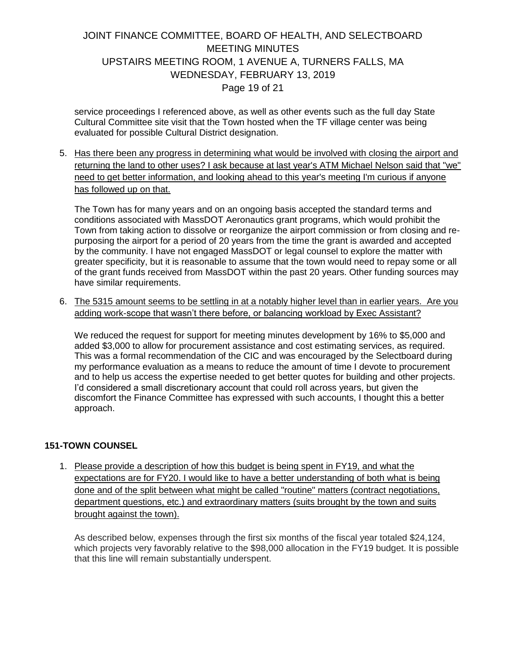# JOINT FINANCE COMMITTEE, BOARD OF HEALTH, AND SELECTBOARD MEETING MINUTES UPSTAIRS MEETING ROOM, 1 AVENUE A, TURNERS FALLS, MA WEDNESDAY, FEBRUARY 13, 2019 Page 19 of 21

service proceedings I referenced above, as well as other events such as the full day State Cultural Committee site visit that the Town hosted when the TF village center was being evaluated for possible Cultural District designation.

5. Has there been any progress in determining what would be involved with closing the airport and returning the land to other uses? I ask because at last year's ATM Michael Nelson said that "we" need to get better information, and looking ahead to this year's meeting I'm curious if anyone has followed up on that.

The Town has for many years and on an ongoing basis accepted the standard terms and conditions associated with MassDOT Aeronautics grant programs, which would prohibit the Town from taking action to dissolve or reorganize the airport commission or from closing and repurposing the airport for a period of 20 years from the time the grant is awarded and accepted by the community. I have not engaged MassDOT or legal counsel to explore the matter with greater specificity, but it is reasonable to assume that the town would need to repay some or all of the grant funds received from MassDOT within the past 20 years. Other funding sources may have similar requirements.

6. The 5315 amount seems to be settling in at a notably higher level than in earlier years. Are you adding work-scope that wasn't there before, or balancing workload by Exec Assistant?

We reduced the request for support for meeting minutes development by 16% to \$5,000 and added \$3,000 to allow for procurement assistance and cost estimating services, as required. This was a formal recommendation of the CIC and was encouraged by the Selectboard during my performance evaluation as a means to reduce the amount of time I devote to procurement and to help us access the expertise needed to get better quotes for building and other projects. I'd considered a small discretionary account that could roll across years, but given the discomfort the Finance Committee has expressed with such accounts, I thought this a better approach.

#### **151-TOWN COUNSEL**

1. Please provide a description of how this budget is being spent in FY19, and what the expectations are for FY20. I would like to have a better understanding of both what is being done and of the split between what might be called "routine" matters (contract negotiations, department questions, etc.) and extraordinary matters (suits brought by the town and suits brought against the town).

As described below, expenses through the first six months of the fiscal year totaled \$24,124, which projects very favorably relative to the \$98,000 allocation in the FY19 budget. It is possible that this line will remain substantially underspent.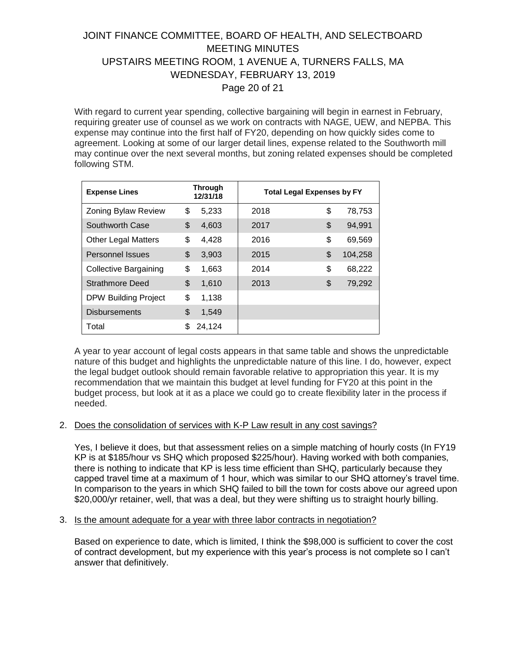# JOINT FINANCE COMMITTEE, BOARD OF HEALTH, AND SELECTBOARD MEETING MINUTES UPSTAIRS MEETING ROOM, 1 AVENUE A, TURNERS FALLS, MA WEDNESDAY, FEBRUARY 13, 2019 Page 20 of 21

With regard to current year spending, collective bargaining will begin in earnest in February, requiring greater use of counsel as we work on contracts with NAGE, UEW, and NEPBA. This expense may continue into the first half of FY20, depending on how quickly sides come to agreement. Looking at some of our larger detail lines, expense related to the Southworth mill may continue over the next several months, but zoning related expenses should be completed following STM.

| <b>Expense Lines</b>         | <b>Through</b><br>12/31/18 | <b>Total Legal Expenses by FY</b> |               |  |  |  |  |
|------------------------------|----------------------------|-----------------------------------|---------------|--|--|--|--|
| Zoning Bylaw Review          | \$<br>5,233                | 2018                              | \$<br>78,753  |  |  |  |  |
| Southworth Case              | \$<br>4,603                | 2017                              | \$<br>94,991  |  |  |  |  |
| <b>Other Legal Matters</b>   | \$<br>4,428                | 2016                              | \$<br>69,569  |  |  |  |  |
| <b>Personnel Issues</b>      | \$<br>3,903                | 2015                              | \$<br>104,258 |  |  |  |  |
| <b>Collective Bargaining</b> | \$<br>1,663                | 2014                              | \$<br>68,222  |  |  |  |  |
| <b>Strathmore Deed</b>       | \$<br>1,610                | 2013                              | \$<br>79,292  |  |  |  |  |
| <b>DPW Building Project</b>  | \$<br>1,138                |                                   |               |  |  |  |  |
| <b>Disbursements</b>         | \$<br>1,549                |                                   |               |  |  |  |  |
| Total                        | \$<br>24,124               |                                   |               |  |  |  |  |

A year to year account of legal costs appears in that same table and shows the unpredictable nature of this budget and highlights the unpredictable nature of this line. I do, however, expect the legal budget outlook should remain favorable relative to appropriation this year. It is my recommendation that we maintain this budget at level funding for FY20 at this point in the budget process, but look at it as a place we could go to create flexibility later in the process if needed.

#### 2. Does the consolidation of services with K-P Law result in any cost savings?

Yes, I believe it does, but that assessment relies on a simple matching of hourly costs (In FY19 KP is at \$185/hour vs SHQ which proposed \$225/hour). Having worked with both companies, there is nothing to indicate that KP is less time efficient than SHQ, particularly because they capped travel time at a maximum of 1 hour, which was similar to our SHQ attorney's travel time. In comparison to the years in which SHQ failed to bill the town for costs above our agreed upon \$20,000/yr retainer, well, that was a deal, but they were shifting us to straight hourly billing.

#### 3. Is the amount adequate for a year with three labor contracts in negotiation?

Based on experience to date, which is limited, I think the \$98,000 is sufficient to cover the cost of contract development, but my experience with this year's process is not complete so I can't answer that definitively.